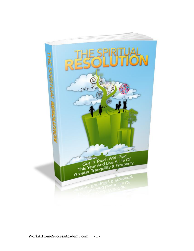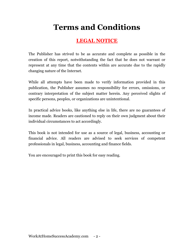# **Terms and Conditions**

#### **LEGAL NOTICE**

The Publisher has strived to be as accurate and complete as possible in the creation of this report, notwithstanding the fact that he does not warrant or represent at any time that the contents within are accurate due to the rapidly changing nature of the Internet.

While all attempts have been made to verify information provided in this publication, the Publisher assumes no responsibility for errors, omissions, or contrary interpretation of the subject matter herein. Any perceived slights of specific persons, peoples, or organizations are unintentional.

In practical advice books, like anything else in life, there are no guarantees of income made. Readers are cautioned to reply on their own judgment about their individual circumstances to act accordingly.

This book is not intended for use as a source of legal, business, accounting or financial advice. All readers are advised to seek services of competent professionals in legal, business, accounting and finance fields.

You are encouraged to print this book for easy reading.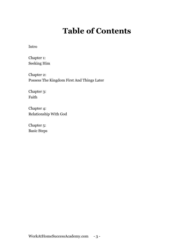# **Table of Contents**

Intro

Chapter 1: Seeking Him

Chapter 2: Possess The Kingdom First And Things Later

Chapter 3: Faith

Chapter 4: Relationship With God

Chapter 5: Basic Steps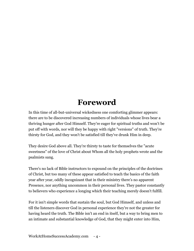## **Foreword**

In this time of all-but-universal wickedness one comforting glimmer appears: there are to be discovered increasing numbers of individuals whose lives bear a thriving hunger after God Himself. They're eager for spiritual truths and won't be put off with words, nor will they be happy with right "versions" of truth. They're thirsty for God, and they won't be satisfied till they've drunk Him in deep.

They desire God above all. They're thirsty to taste for themselves the "acute sweetness" of the love of Christ about Whom all the holy prophets wrote and the psalmists sang.

There's no lack of Bible instructors to expound on the principles of the doctrines of Christ, but too many of these appear satisfied to teach the basics of the faith year after year, oddly incognizant that in their ministry there's no apparent Presence, nor anything uncommon in their personal lives. They pastor constantly to believers who experience a longing which their teaching merely doesn't fulfill.

For it isn't simple words that sustain the soul, but God Himself, and unless and till the listeners discover God in personal experience they're not the greater for having heard the truth. The Bible isn't an end in itself, but a way to bring men to an intimate and substantial knowledge of God, that they might enter into Him,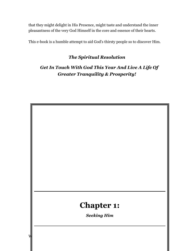that they might delight in His Presence, might taste and understand the inner pleasantness of the very God Himself in the core and essence of their hearts.

This e-book is a humble attempt to aid God's thirsty people so to discover Him.

#### *The Spiritual Resolution*

 *Get In Touch With God This Year And Live A Life Of Greater Tranquility & Prosperity!*

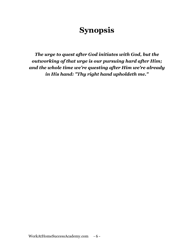## **Synopsis**

*The urge to quest after God initiates with God, but the outworking of that urge is our pursuing hard after Him; and the whole time we're questing after Him we're already in His hand: "Thy right hand upholdeth me."*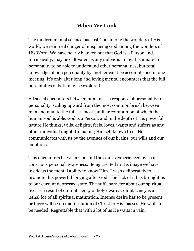### **When We Look**

The modern man of science has lost God among the wonders of His world; we're in real danger of misplacing God among the wonders of His Word. We have nearly blanked out that God is a Person and, intrinsically, may be cultivated as any individual may. It's innate in personality to be able to understand other personalities, but total knowledge of one personality by another can't be accomplished in one meeting. It's only after long and loving mental encounters that the full possibilities of both may be explored.

All social encounters between humans is a response of personality to personality, scaling upward from the most common brush between man and man to the fullest, most familiar communion of which the human soul is able. God is a Person, and in the depth of His powerful nature He thinks, wills, delights, feels, loves, wants and suffers as any other individual might. In making Himself known to us He communicates with us by the avenues of our brains, our wills and our emotions.

This encounters between God and the soul is experienced by us in conscious personal awareness. Being created in His image we have inside us the mental ability to know Him. I wish deliberately to promote this powerful longing after God. The lack of it has brought us to our current depressed state. The stiff character about our spiritual lives is a result of our deficiency of holy desire. Complacency is a lethal foe of all spiritual maturation. Intense desire has to be present or there will be no manifestation of Christ to His masses. He waits to be needed. Regrettable that with a lot of us He waits in vain.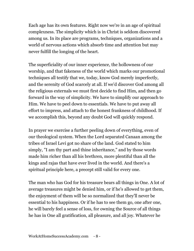Each age has its own features. Right now we're in an age of spiritual complexness. The simplicity which is in Christ is seldom discovered among us. In its place are programs, techniques, organizations and a world of nervous actions which absorb time and attention but may never fulfill the longing of the heart.

The superficiality of our inner experience, the hollowness of our worship, and that fakeness of the world which marks our promotional techniques all testify that we, today, know God merely imperfectly, and the serenity of God scarcely at all. If we'd discover God among all the religious externals we must first decide to find Him, and then go forward in the way of simplicity. We have to simplify our approach to Him. We have to peel down to essentials. We have to put away all effort to impress, and attach to the honest frankness of childhood. If we accomplish this, beyond any doubt God will quickly respond.

In prayer we exercise a further peeling down of everything, even of our theological system. When the Lord separated Canaan among the tribes of Israel Levi got no share of the land. God stated to him simply, "I am thy part and thine inheritance," and by those words made him richer than all his brethren, more plentiful than all the kings and rajas that have ever lived in the world. And there's a spiritual principle here, a precept still valid for every one.

The man who has God for his treasure bears all things in One. A lot of average treasures might be denied him, or if he's allowed to get them, the enjoyment of them will be so normalized that they'll never be essential to his happiness. Or if he has to see them go, one after one, he will barely feel a sense of loss, for owning the Source of all things he has in One all gratification, all pleasure, and all joy. Whatever he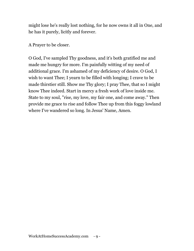might lose he's really lost nothing, for he now owns it all in One, and he has it purely, licitly and forever.

A Prayer to be closer.

O God, I've sampled Thy goodness, and it's both gratified me and made me hungry for more. I'm painfully witting of my need of additional grace. I'm ashamed of my deficiency of desire. O God, I wish to want Thee; I yearn to be filled with longing; I crave to be made thirstier still. Show me Thy glory; I pray Thee, that so I might know Thee indeed. Start in mercy a fresh work of love inside me. State to my soul, "rise, my love, my fair one, and come away." Then provide me grace to rise and follow Thee up from this foggy lowland where I've wandered so long. In Jesus' Name, Amen.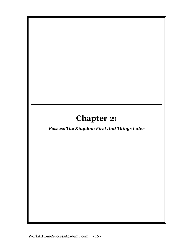# **Chapter 2:**

*Possess The Kingdom First And Things Later*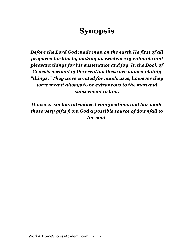# **Synopsis**

*Before the Lord God made man on the earth He first of all prepared for him by making an existence of valuable and pleasant things for his sustenance and joy. In the Book of Genesis account of the creation these are named plainly "things." They were created for man's uses, however they were meant always to be extraneous to the man and subservient to him.*

*However sin has introduced ramifications and has made those very gifts from God a possible source of downfall to the soul.*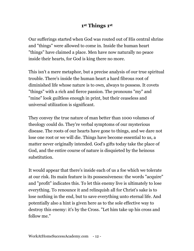#### **1 st Things 1st**

Our sufferings started when God was routed out of His central shrine and "things" were allowed to come in. Inside the human heart "things" have claimed a place. Men have now naturally no peace inside their hearts, for God is king there no more.

This isn't a mere metaphor, but a precise analysis of our true spiritual trouble. There's inside the human heart a hard fibrous root of diminished life whose nature is to own, always to possess. It covets "things" with a rich and fierce passion. The pronouns "my" and "mine" look guiltless enough in print, but their ceaseless and universal utilization is significant.

They convey the true nature of man better than 1000 volumes of theology could do. They're verbal symptoms of our mysterious disease. The roots of our hearts have gone to things, and we dare not lose one root or we will die. Things have become essential to us, a matter never originally intended. God's gifts today take the place of God, and the entire course of nature is disquieted by the heinous substitution.

It would appear that there's inside each of us a foe which we tolerate at our risk. Its main feature is its possessiveness: the words "acquire" and "profit" indicates this. To let this enemy live is ultimately to lose everything. To renounce it and relinquish all for Christ's sake is to lose nothing in the end, but to save everything unto eternal life. And potentially also a hint is given here as to the sole effective way to destroy this enemy: it's by the Cross. "Let him take up his cross and follow me."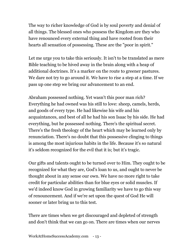The way to richer knowledge of God is by soul poverty and denial of all things. The blessed ones who possess the Kingdom are they who have renounced every external thing and have rooted from their hearts all sensation of possessing. These are the "poor in spirit."

Let me urge you to take this seriously. It isn't to be translated as mere Bible teaching to be hived away in the brain along with a heap of additional doctrines. It's a marker on the route to greener pastures. We dare not try to go around it. We have to rise a step at a time. If we pass up one step we bring our advancement to an end.

Abraham possessed nothing. Yet wasn't this poor man rich? Everything he had owned was his still to love: sheep, camels, herds, and goods of every type. He had likewise his wife and his acquaintances, and best of all he had his son Isaac by his side. He had everything, but he possessed nothing. There's the spiritual secret. There's the fresh theology of the heart which may be learned only by renunciation. There's no doubt that this possessive clinging to things is among the most injurious habits in the life. Because it's so natural it's seldom recognized for the evil that it is; but it's tragic.

Our gifts and talents ought to be turned over to Him. They ought to be recognized for what they are, God's loan to us, and ought to never be thought about in any sense our own. We have no more right to take credit for particular abilities than for blue eyes or solid muscles. If we'd indeed know God in growing familiarity we have to go this way of renouncement. And if we're set upon the quest of God He will sooner or later bring us to this test.

There are times when we get discouraged and depleted of strength and don't think that we can go on. There are times when our nerves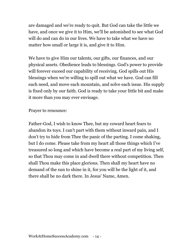are damaged and we're ready to quit. But God can take the little we have, and once we give it to Him, we'll be astonished to see what God will do and can do in our lives. We have to take what we have no matter how small or large it is, and give it to Him.

We have to give Him our talents, our gifts, our finances, and our physical assets. Obedience leads to blessings. God's power to provide will forever exceed our capability of receiving. God spills out His blessings when we're willing to spill out what we have. God can fill each need, and move each mountain, and solve each issue. His supply is fixed only by our faith. God is ready to take your little bit and make it more than you may ever envisage.

Prayer to renounce:

Father-God, I wish to know Thee, but my coward heart fears to abandon its toys. I can't part with them without inward pain, and I don't try to hide from Thee the panic of the parting. I come shaking, but I do come. Please take from my heart all those things which I've treasured so long and which have become a real part of my living self, so that Thou may come in and dwell there without competition. Then shall Thou make this place glorious. Then shall my heart have no demand of the sun to shine in it, for you will be the light of it, and there shall be no dark there. In Jesus' Name, Amen.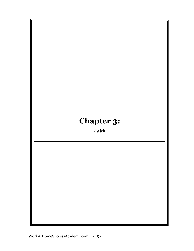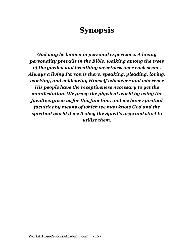## **Synopsis**

*God may be known in personal experience. A loving personality prevails in the Bible, walking among the trees of the garden and breathing sweetness over each scene. Always a living Person is there, speaking, pleading, loving, working, and evidencing Himself whenever and wherever His people have the receptiveness necessary to get the manifestation. We grasp the physical world by using the faculties given us for this function, and we have spiritual faculties by means of which we may know God and the spiritual world if we'll obey the Spirit's urge and start to utilize them.*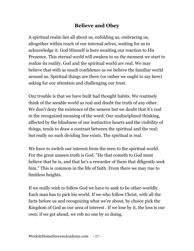### **Believe and Obey**

A spiritual realm lies all about us, enfolding us, embracing us, altogether within reach of our internal selves, waiting for us to acknowledge it. God Himself is here awaiting our reaction to His Presence. This eternal world will awaken to us the moment we start to realize its reality. God and the spiritual world are real. We may believe that with as much confidence as we believe the familiar world around us. Spiritual things are there (or rather we ought to say here) asking for our attention and challenging our trust.

Our trouble is that we have built bad thought habits. We routinely think of the seeable world as real and doubt the truth of any other. We don't deny the existence of the unseen but we doubt that it's real in the recognized meaning of the word. Our undisciplined thinking, affected by the blindness of our instinctive hearts and the visibility of things, tends to draw a contrast between the spiritual and the real; but really no such dividing line exists. The spiritual is real.

We have to switch our interest from the seen to the spiritual world. For the great unseen truth is God. "He that cometh to God must believe that he is, and that he's a rewarder of them that diligently seek him." This is common in the life of faith. From there we may rise to limitless heights.

If we really wish to follow God we have to seek to be other-worldly. Each man has to pick his world. If we who follow Christ, with all the facts before us and recognizing what we're about, by choice pick the Kingdom of God as our area of interest . If we lose by it, the loss is our own; if we get ahead, we rob no one by so doing.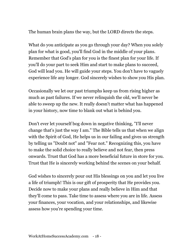The human brain plans the way, but the LORD directs the steps.

What do you anticipate as you go through your day? When you solely plan for what is good, you'll find God in the middle of your plans. Remember that God's plan for you is the finest plan for your life. If you'll do your part to seek Him and start to make plans to succeed, God will lead you. He will guide your steps. You don't have to vaguely experience life any longer. God sincerely wishes to show you His plan.

Occasionally we let our past triumphs keep us from rising higher as much as past failures. If we never relinquish the old, we'll never be able to sweep up the new. It really doesn't matter what has happened in your history, now time to blank out what is behind you.

Don't ever let yourself bog down in negative thinking, "I'll never change that's just the way I am." The Bible tells us that when we align with the Spirit of God, He helps us in our failing and gives us strength by telling us "Doubt not" and "Fear not." Recognizing this, you have to make the solid choice to really believe and not fear, then press onwards. Trust that God has a more beneficial future in store for you. Trust that He is sincerely working behind the scenes on your behalf.

God wishes to sincerely pour out His blessings on you and let you live a life of triumph! This is our gift of prosperity that He provides you. Decide now to make your plans and really believe in Him and that they'll come to pass. Take time to assess where you are in life. Assess your finances, your vocation, and your relationships, and likewise assess how you're spending your time.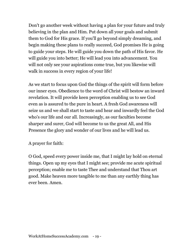Don't go another week without having a plan for your future and truly believing in the plan and Him. Put down all your goals and submit them to God for His grace. If you'll go beyond simply dreaming, and begin making these plans to really succeed, God promises He is going to guide your steps. He will guide you down the path of His favor. He will guide you into better; He will lead you into advancement. You will not only see your aspirations come true, but you likewise will walk in success in every region of your life!

As we start to focus upon God the things of the spirit will form before our inner eyes. Obedience to the word of Christ will bestow an inward revelation. It will provide keen perception enabling us to see God even as is assured to the pure in heart. A fresh God awareness will seize us and we shall start to taste and hear and inwardly feel the God who's our life and our all. Increasingly, as our faculties become sharper and surer, God will become to us the great All, and His Presence the glory and wonder of our lives and he will lead us.

A prayer for faith:

O God, speed every power inside me, that I might lay hold on eternal things. Open up my eyes that I might see; provide me acute spiritual perception; enable me to taste Thee and understand that Thou art good. Make heaven more tangible to me than any earthly thing has ever been. Amen.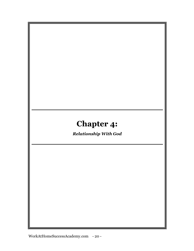# **Chapter 4:**

*Relationship With God*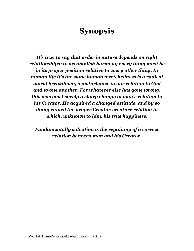## **Synopsis**

*It's true to say that order in nature depends on right relationships; to accomplish harmony every thing must be in its proper position relative to every other thing. In human life it's the same human wretchedness is a radical moral breakdown, a disturbance in our relation to God and to one another. For whatever else has gone wrong, this was most surely a sharp change in man's relation to his Creator. He acquired a changed attitude, and by so doing ruined the proper Creator-creature relation in which, unknown to him, his true happiness.* 

*Fundamentally salvation is the regaining of a correct relation between man and his Creator.*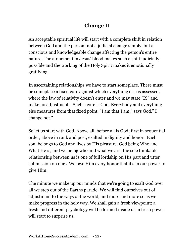### **Change It**

An acceptable spiritual life will start with a complete shift in relation between God and the person; not a judicial change simply, but a conscious and knowledgeable change affecting the person's entire nature. The atonement in Jesus' blood makes such a shift judicially possible and the working of the Holy Spirit makes it emotionally gratifying.

In ascertaining relationships we have to start someplace. There must be someplace a fixed core against which everything else is assessed, where the law of relativity doesn't enter and we may state "IS" and make no adjustments. Such a core is God. Everybody and everything else measures from that fixed point. "I am that I am," says God," I change not."

So let us start with God. Above all, before all is God; first in sequential order, above in rank and post, exalted in dignity and honor. Each soul belongs to God and lives by His pleasure. God being Who and What He is, and we being who and what we are, the sole thinkable relationship between us is one of full lordship on His part and utter submission on ours. We owe Him every honor that it's in our power to give Him.

The minute we make up our minds that we're going to exalt God over all we step out of the Earths parade. We will find ourselves out of adjustment to the ways of the world, and more and more so as we make progress in the holy way. We shall gain a fresh viewpoint; a fresh and different psychology will be formed inside us; a fresh power will start to surprise us.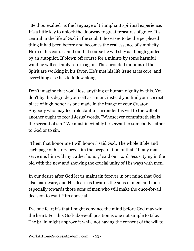"Be thou exalted" is the language of triumphant spiritual experience. It's a little key to unlock the doorway to great treasures of grace. It's central in the life of God in the soul. Life ceases to be the perplexed thing it had been before and becomes the real essence of simplicity. He's set his course, and on that course he will stay as though guided by an autopilot. If blown off course for a minute by some harmful wind he will certainly return again. The shrouded motions of the Spirit are working in his favor. He's met his life issue at its core, and everything else has to follow along.

Don't imagine that you'll lose anything of human dignity by this. You don't by this degrade yourself as a man; instead you find your correct place of high honor as one made in the image of your Creator. Anybody who may feel reluctant to surrender his will to the will of another ought to recall Jesus' words, "Whosoever committeth sin is the servant of sin." We must inevitably be servant to somebody, either to God or to sin.

"Them that honor me I will honor," said God. The whole Bible and each page of history proclaim the perpetuation of that. "If any man serve me, him will my Father honor," said our Lord Jesus, tying in the old with the new and showing the crucial unity of His ways with men.

In our desire after God let us maintain forever in our mind that God also has desire, and His desire is towards the sons of men, and more especially towards those sons of men who will make the once-for-all decision to exalt Him above all.

I've one fear; it's that I might convince the mind before God may win the heart. For this God-above-all position is one not simple to take. The brain might approve it while not having the consent of the will to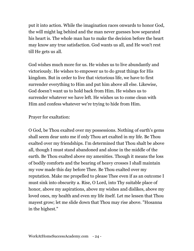put it into action. While the imagination races onwards to honor God, the will might lag behind and the man never guesses how separated his heart is. The whole man has to make the decision before the heart may know any true satisfaction. God wants us all, and He won't rest till He gets us all.

God wishes much more for us. He wishes us to live abundantly and victoriously. He wishes to empower us to do great things for His kingdom. But in order to live that victorious life, we have to first surrender everything to Him and put him above all else. Likewise, God doesn't want us to hold back from Him. He wishes us to surrender whatever we have left. He wishes us to come clean with Him and confess whatever we're trying to hide from Him.

#### Prayer for exaltation:

O God, be Thou exalted over my possessions. Nothing of earth's gems shall seem dear unto me if only Thou art exalted in my life. Be Thou exalted over my friendships. I'm determined that Thou shalt be above all, though I must stand abandoned and alone in the middle of the earth. Be Thou exalted above my amenities. Though it means the loss of bodily comforts and the bearing of heavy crosses I shall maintain my vow made this day before Thee. Be Thou exalted over my reputation. Make me propelled to please Thee even if as an outcome I must sink into obscurity a. Rise, O Lord, into Thy suitable place of honor, above my aspirations, above my wishes and dislikes, above my loved ones, my health and even my life itself. Let me lessen that Thou mayest grow; let me slide down that Thou may rise above. "Hosanna in the highest."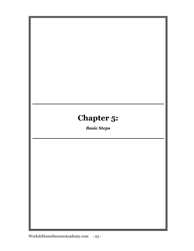# **Chapter 5:**

*Basic Steps*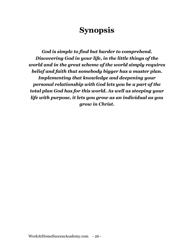## **Synopsis**

*God is simple to find but harder to comprehend. Discovering God in your life, in the little things of the world and in the great scheme of the world simply requires belief and faith that somebody bigger has a master plan. Implementing that knowledge and deepening your personal relationship with God lets you be a part of the total plan God has for this world. As well as steeping your life with purpose, it lets you grow as an individual as you grow in Christ.*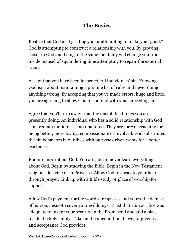#### **The Basics**

Realize that God isn't grading you or attempting to make you "good." God is attempting to construct a relationship with you. By growing closer to God and being of the same mentality will change you from inside instead of squandering time attempting to repair the external issues.

Accept that you have been incorrect. All individuals' sin. Knowing God isn't about maintaining a pristine list of rules and never doing anything wrong. By accepting that you've made errors, huge and little, you are agreeing to allow God to contend with your preceding sins.

Agree that you'll turn away from the unsuitable things you are presently doing. An individual who has a solid relationship with God can't remain motionless and unaltered. They are forever reaching for being better, more loving, compassionate or involved. God substitutes the sin behaviors in our lives with purpose driven wants for a better existence.

Enquire more about God. You are able to never learn everything about God. Begin by studying the Bible. Begin in the New Testament religious doctrine or in Proverbs. Allow God to speak to your heart through prayer. Link up with a Bible study or place of worship for support.

Allow God's payment for the world's trespasses and yours-the demise of his son, Jesus-to cover your evildoings. Trust that His sacrifice was adequate to insure your security in the Promised Land and a place inside the holy family. Take on the unconditional love, forgiveness and acceptance God provides.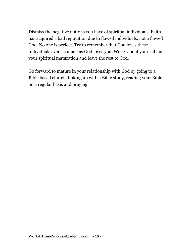Dismiss the negative notions you have of spiritual individuals. Faith has acquired a bad reputation due to flawed individuals, not a flawed God. No one is perfect. Try to remember that God loves these individuals even as much as God loves you. Worry about yourself and your spiritual maturation and leave the rest to God.

Go forward to mature in your relationship with God by going to a Bible based church, linking up with a Bible study, reading your Bible on a regular basis and praying.